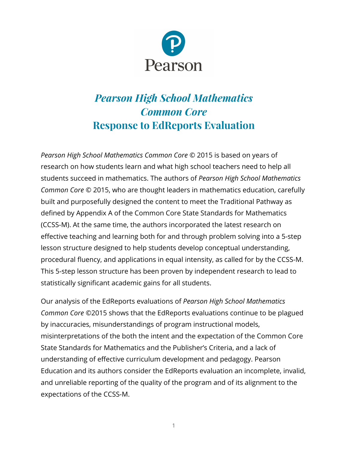

## *Pearson High School Mathematics Common Core* **Response to EdReports Evaluation**

*Pearson High School Mathematics Common Core* © 2015 is based on years of research on how students learn and what high school teachers need to help all students succeed in mathematics. The authors of *Pearson High School Mathematics Common Core* © 2015, who are thought leaders in mathematics education, carefully built and purposefully designed the content to meet the Traditional Pathway as defined by Appendix A of the Common Core State Standards for Mathematics (CCSS-M). At the same time, the authors incorporated the latest research on effective teaching and learning both for and through problem solving into a 5-step lesson structure designed to help students develop conceptual understanding, procedural fluency, and applications in equal intensity, as called for by the CCSS-M. This 5-step lesson structure has been proven by independent research to lead to statistically significant academic gains for all students.

Our analysis of the EdReports evaluations of *Pearson High School Mathematics Common Core* ©2015 shows that the EdReports evaluations continue to be plagued by inaccuracies, misunderstandings of program instructional models, misinterpretations of the both the intent and the expectation of the Common Core State Standards for Mathematics and the Publisher's Criteria, and a lack of understanding of effective curriculum development and pedagogy. Pearson Education and its authors consider the EdReports evaluation an incomplete, invalid, and unreliable reporting of the quality of the program and of its alignment to the expectations of the CCSS-M.

1